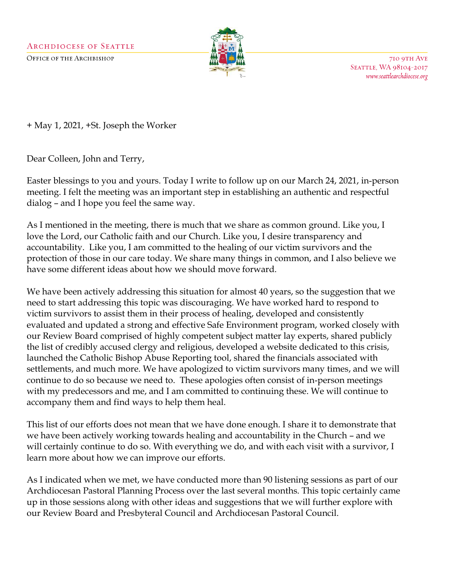

710 9TH AVE SEATTLE, WA 98104-2017 www.seattlearchdiocese.org

+ May 1, 2021, +St. Joseph the Worker

Dear Colleen, John and Terry,

Easter blessings to you and yours. Today I write to follow up on our March 24, 2021, in-person meeting. I felt the meeting was an important step in establishing an authentic and respectful dialog – and I hope you feel the same way.

As I mentioned in the meeting, there is much that we share as common ground. Like you, I love the Lord, our Catholic faith and our Church. Like you, I desire transparency and accountability. Like you, I am committed to the healing of our victim survivors and the protection of those in our care today. We share many things in common, and I also believe we have some different ideas about how we should move forward.

We have been actively addressing this situation for almost 40 years, so the suggestion that we need to start addressing this topic was discouraging. We have worked hard to respond to victim survivors to assist them in their process of healing, developed and consistently evaluated and updated a strong and effective Safe Environment program, worked closely with our Review Board comprised of highly competent subject matter lay experts, shared publicly the list of credibly accused clergy and religious, developed a website dedicated to this crisis, launched the Catholic Bishop Abuse Reporting tool, shared the financials associated with settlements, and much more. We have apologized to victim survivors many times, and we will continue to do so because we need to. These apologies often consist of in-person meetings with my predecessors and me, and I am committed to continuing these. We will continue to accompany them and find ways to help them heal.

This list of our efforts does not mean that we have done enough. I share it to demonstrate that we have been actively working towards healing and accountability in the Church – and we will certainly continue to do so. With everything we do, and with each visit with a survivor, I learn more about how we can improve our efforts.

As I indicated when we met, we have conducted more than 90 listening sessions as part of our Archdiocesan Pastoral Planning Process over the last several months. This topic certainly came up in those sessions along with other ideas and suggestions that we will further explore with our Review Board and Presbyteral Council and Archdiocesan Pastoral Council.